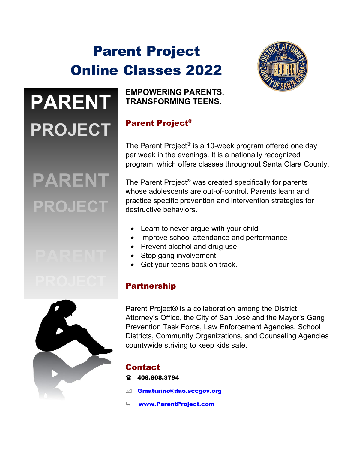# Parent Project Online Classes 2022



# **PARENT PROJECT**

# **PARENT PROJECT**



**EMPOWERING PARENTS. TRANSFORMING TEENS.**

### Parent Project®

The Parent Project® is a 10-week program offered one day per week in the evenings. It is a nationally recognized program, which offers classes throughout Santa Clara County.

The Parent Project® was created specifically for parents whose adolescents are out-of-control. Parents learn and practice specific prevention and intervention strategies for destructive behaviors.

- Learn to never argue with your child
- Improve school attendance and performance
- Prevent alcohol and drug use
- Stop gang involvement.
- Get your teens back on track.

#### Partnership

Parent Project® is a collaboration among the District Attorney's Office, the City of San José and the Mayor's Gang Prevention Task Force, Law Enforcement Agencies, School Districts, Community Organizations, and Counseling Agencies countywide striving to keep kids safe.

#### Contact

- **當** 408.808.3794
- [Gmaturino@dao.sccgov.org](mailto:Gmaturino@dao.sccgov.org)
- [www.ParentProject.com](http://www.parentproject.com/)